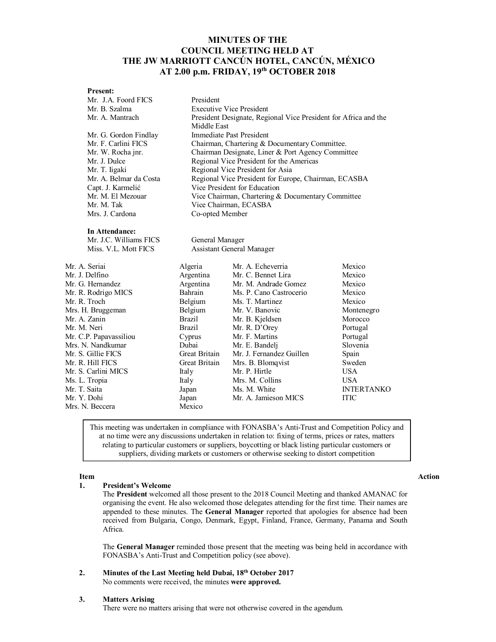# **MINUTES OF THE COUNCIL MEETING HELD AT THE JW MARRIOTT CANCÚN HOTEL, CANCÚN, MÉXICO AT 2.00 p.m. FRIDAY, 19 th OCTOBER 2018**

## **Present:**

| Mr. J.A. Foord FICS    | President                                                       |                          |                   |  |
|------------------------|-----------------------------------------------------------------|--------------------------|-------------------|--|
| Mr. B. Szalma          | <b>Executive Vice President</b>                                 |                          |                   |  |
| Mr. A. Mantrach        | President Designate, Regional Vice President for Africa and the |                          |                   |  |
|                        | Middle East                                                     |                          |                   |  |
| Mr. G. Gordon Findlay  | Immediate Past President                                        |                          |                   |  |
| Mr. F. Carlini FICS    | Chairman, Chartering & Documentary Committee.                   |                          |                   |  |
| Mr. W. Rocha jnr.      | Chairman Designate, Liner & Port Agency Committee               |                          |                   |  |
| Mr. J. Dulce           | Regional Vice President for the Americas                        |                          |                   |  |
| Mr. T. Iigaki          | Regional Vice President for Asia                                |                          |                   |  |
| Mr. A. Belmar da Costa | Regional Vice President for Europe, Chairman, ECASBA            |                          |                   |  |
| Capt. J. Karmelić      | Vice President for Education                                    |                          |                   |  |
| Mr. M. El Mezouar      | Vice Chairman, Chartering & Documentary Committee               |                          |                   |  |
| Mr. M. Tak             | Vice Chairman, ECASBA                                           |                          |                   |  |
| Mrs. J. Cardona        | Co-opted Member                                                 |                          |                   |  |
| In Attendance:         |                                                                 |                          |                   |  |
| Mr. J.C. Williams FICS | General Manager                                                 |                          |                   |  |
| Miss. V.L. Mott FICS   | Assistant General Manager                                       |                          |                   |  |
| Mr. A. Seriai          | Algeria                                                         | Mr. A. Echeverria        | Mexico            |  |
| Mr. J. Delfino         | Argentina                                                       | Mr. C. Bennet Lira       | Mexico            |  |
| Mr. G. Hernandez       | Argentina                                                       | Mr. M. Andrade Gomez     | Mexico            |  |
| Mr. R. Rodrigo MICS    | Bahrain                                                         | Ms. P. Cano Castrocerio  | Mexico            |  |
| Mr. R. Troch           | Belgium                                                         | Ms. T. Martinez          | Mexico            |  |
| Mrs. H. Bruggeman      | Belgium                                                         | Mr. V. Banovic           | Montenegro        |  |
| Mr. A. Zanin           | <b>Brazil</b>                                                   | Mr. B. Kjeldsen          | Morocco           |  |
| Mr. M. Neri            | <b>Brazil</b>                                                   | Mr. R. D'Orey            | Portugal          |  |
| Mr. C.P. Papavassiliou | Cyprus                                                          | Mr. F. Martins           | Portugal          |  |
| Mrs. N. Nandkumar      | Dubai                                                           | Mr. E. Bandelj           | Slovenia          |  |
| Mr. S. Gillie FICS     | Great Britain                                                   | Mr. J. Fernandez Guillen | Spain             |  |
| Mr. R. Hill FICS       | Great Britain                                                   | Mrs. B. Blomqvist        | Sweden            |  |
| Mr. S. Carlini MICS    | Italy                                                           | Mr. P. Hirtle            | <b>USA</b>        |  |
| Ms. L. Tropia          | Italy                                                           | Mrs. M. Collins          | <b>USA</b>        |  |
| Mr. T. Saita           | Japan                                                           | Ms. M. White             | <b>INTERTANKO</b> |  |
| Mr. Y. Dohi            | Japan                                                           | Mr. A. Jamieson MICS     | <b>ITIC</b>       |  |
| Mrs. N. Beccera        | Mexico                                                          |                          |                   |  |

This meeting was undertaken in compliance with FONASBA's Anti-Trust and Competition Policy and at no time were any discussions undertaken in relation to: fixing of terms, prices or rates, matters relating to particular customers or suppliers, boycotting or black listing particular customers or suppliers, dividing markets or customers or otherwise seeking to distort competition

#### **1. President's Welcome**

The **President** welcomed all those present to the 2018 Council Meeting and thanked AMANAC for organising the event. He also welcomed those delegates attending for the first time. Their names are appended to these minutes. The **General Manager** reported that apologies for absence had been received from Bulgaria, Congo, Denmark, Egypt, Finland, France, Germany, Panama and South Africa.

The **General Manager** reminded those present that the meeting was being held in accordance with FONASBA's Anti-Trust and Competition policy (see above).

### **2. Minutes of the Last Meeting held Dubai, 18th October 2017** No comments were received, the minutes **were approved.**

#### **3. Matters Arising**

There were no matters arising that were not otherwise covered in the agendum.

## **Item Action**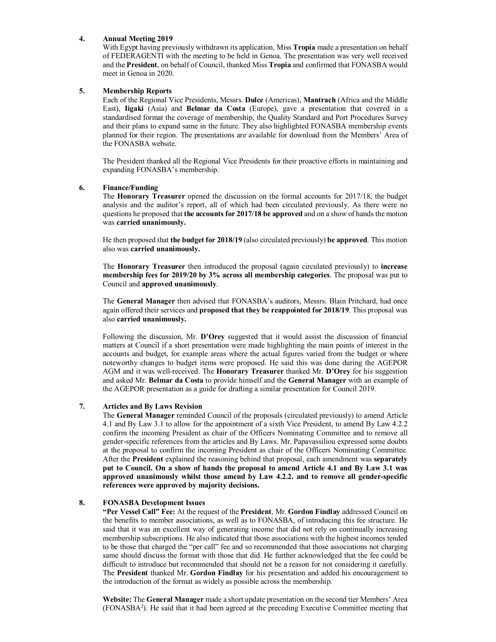#### **4. Annual Meeting 2019**

With Egypt having previously withdrawn its application, Miss **Tropia** made a presentation on behalf of FEDERAGENTI with the meeting to be held in Genoa. The presentation was very well received and the **President**, on behalf of Council, thanked Miss **Tropia** and confirmed that FONASBA would meet in Genoa in 2020.

#### **5. Membership Reports**

Each of the Regional Vice Presidents, Messrs. **Dulce** (Americas), **Mantrach** (Africa and the Middle East), **Iigaki** (Asia) and **Belmar da Costa** (Europe), gave a presentation that covered in a standardised format the coverage of membership, the Quality Standard and Port Procedures Survey and their plans to expand same in the future. They also highlighted FONASBA membership events planned for their region. The presentations are available for download from the Members' Area of the FONASBA website.

The President thanked all the Regional Vice Presidents for their proactive efforts in maintaining and expanding FONASBA's membership.

#### **6. Finance/Funding**

The **Honorary Treasurer** opened the discussion on the formal accounts for 2017/18, the budget analysis and the auditor's report, all of which had been circulated previously. As there were no questions he proposed that **the accounts for 2017/18 be approved** and on a show of hands the motion was **carried unanimously.**

He then proposed that **the budget for 2018/19** (also circulated previously) **be approved**. This motion also was **carried unanimously.**

The **Honorary Treasurer** then introduced the proposal (again circulated previously) to **increase membership fees for 2019/20 by 3% across all membership categories**. The proposal was put to Council and **approved unanimously**.

The **General Manager** then advised that FONASBA's auditors, Messrs. Blain Pritchard, had once again offered their services and **proposed that they be reappointed for 2018/19**. This proposal was also **carried unanimously.**

Following the discussion, Mr. **D'Orey** suggested that it would assist the discussion of financial matters at Council if a short presentation were made highlighting the main points of interest in the accounts and budget, for example areas where the actual figures varied from the budget or where noteworthy changes to budget items were proposed. He said this was done during the AGEPOR AGM and it was well-received. The **Honorary Treasurer** thanked Mr. **D'Orey** for his suggestion and asked Mr. **Belmar da Costa** to provide himself and the **General Manager** with an example of the AGEPOR presentation as a guide for drafting a similar presentation for Council 2019.

#### **7. Articles and By Laws Revision**

The **General Manager** reminded Council of the proposals (circulated previously) to amend Article 4.1 and By Law 3.1 to allow for the appointment of a sixth Vice President, to amend By Law 4.2.2 confirm the incoming President as chair of the Officers Nominating Committee and to remove all gender-specific references from the articles and By Laws. Mr. Papavassiliou expressed some doubts at the proposal to confirm the incoming President as chair of the Officers Nominating Committee. After the **President** explained the reasoning behind that proposal, each amendment was **separately put to Council. On a show of hands the proposal to amend Article 4.1 and By Law 3.1 was approved unanimously whilst those amend by Law 4.2.2. and to remove all gender-specific references were approved by majority decisions.**

#### **8. FONASBA Development Issues**

**"Per Vessel Call" Fee:** At the request of the **President**, Mr. **Gordon Findlay** addressed Council on the benefits to member associations, as well as to FONASBA, of introducing this fee structure. He said that it was an excellent way of generating income that did not rely on continually increasing membership subscriptions. He also indicated that those associations with the highest incomes tended to be those that charged the "per call" fee and so recommended that those associations not charging same should discuss the format with those that did. He further acknowledged that the fee could be difficult to introduce but recommended that should not be a reason for not considering it carefully. The **President** thanked Mr. **Gordon Findlay** for his presentation and added his encouragement to the introduction of the format as widely as possible across the membership.

**Website:** The **General Manager** made a short update presentation on the second tier Members' Area (FONASBA<sup>2</sup> ). He said that it had been agreed at the preceding Executive Committee meeting that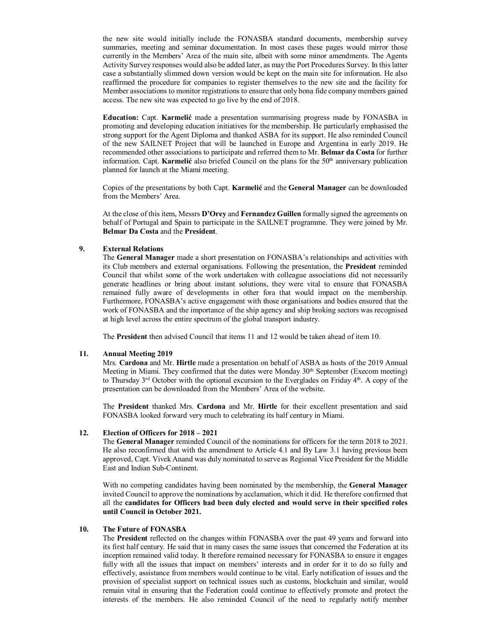the new site would initially include the FONASBA standard documents, membership survey summaries, meeting and seminar documentation. In most cases these pages would mirror those currently in the Members' Area of the main site, albeit with some minor amendments. The Agents Activity Survey responses would also be added later, as may the Port Procedures Survey. In this latter case a substantially slimmed down version would be kept on the main site for information. He also reaffirmed the procedure for companies to register themselves to the new site and the facility for Member associations to monitor registrations to ensure that only bona fide company members gained access. The new site was expected to go live by the end of 2018.

**Education:** Capt. **Karmelić** made a presentation summarising progress made by FONASBA in promoting and developing education initiatives for the membership. He particularly emphasised the strong support for the Agent Diploma and thanked ASBA for its support. He also reminded Council of the new SAILNET Project that will be launched in Europe and Argentina in early 2019. He recommended other associations to participate and referred them to Mr. **Belmar da Costa** for further information. Capt. **Karmelić** also briefed Council on the plans for the 50<sup>th</sup> anniversary publication planned for launch at the Miami meeting.

Copies of the presentations by both Capt. **Karmelić** and the **General Manager** can be downloaded from the Members' Area.

At the close of this item, Messrs **D'Orey** and **Fernandez Guillen** formally signed the agreements on behalf of Portugal and Spain to participate in the SAILNET programme. They were joined by Mr. **Belmar Da Costa** and the **President**.

#### **9. External Relations**

The **General Manager** made a short presentation on FONASBA's relationships and activities with its Club members and external organisations. Following the presentation, the **President** reminded Council that whilst some of the work undertaken with colleague associations did not necessarily generate headlines or bring about instant solutions, they were vital to ensure that FONASBA remained fully aware of developments in other fora that would impact on the membership. Furthermore, FONASBA's active engagement with those organisations and bodies ensured that the work of FONASBA and the importance of the ship agency and ship broking sectors was recognised at high level across the entire spectrum of the global transport industry.

The **President** then advised Council that items 11 and 12 would be taken ahead of item 10.

#### **11. Annual Meeting 2019**

Mrs. **Cardona** and Mr. **Hirtle** made a presentation on behalf of ASBA as hosts of the 2019 Annual Meeting in Miami. They confirmed that the dates were Monday 30<sup>th</sup> September (Execom meeting) to Thursday  $3^{rd}$  October with the optional excursion to the Everglades on Friday  $4^{th}$ . A copy of the presentation can be downloaded from the Members' Area of the website.

The **President** thanked Mrs. **Cardona** and Mr. **Hirtle** for their excellent presentation and said FONASBA looked forward very much to celebrating its half century in Miami.

#### **12. Election of Officers for 2018 – 2021**

The **General Manager** reminded Council of the nominations for officers for the term 2018 to 2021. He also reconfirmed that with the amendment to Article 4.1 and By Law 3.1 having previous been approved, Capt. Vivek Anand was duly nominated to serve as Regional Vice President for the Middle East and Indian Sub-Continent.

With no competing candidates having been nominated by the membership, the **General Manager** invited Council to approve the nominations by acclamation, which it did. He therefore confirmed that all the **candidates for Officers had been duly elected and would serve in their specified roles until Council in October 2021.**

#### **10. The Future of FONASBA**

The **President** reflected on the changes within FONASBA over the past 49 years and forward into its first half century. He said that in many cases the same issues that concerned the Federation at its inception remained valid today. It therefore remained necessary for FONASBA to ensure it engages fully with all the issues that impact on members' interests and in order for it to do so fully and effectively, assistance from members would continue to be vital. Early notification of issues and the provision of specialist support on technical issues such as customs, blockchain and similar, would remain vital in ensuring that the Federation could continue to effectively promote and protect the interests of the members. He also reminded Council of the need to regularly notify member